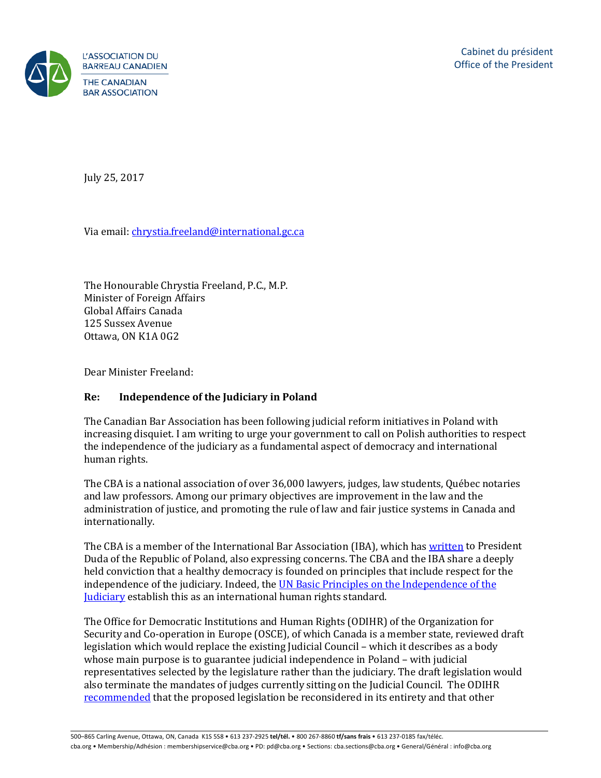

July 25, 2017

Via email: *chrystia.freeland@international.gc.ca* 

The Honourable Chrystia Freeland, P.C., M.P. Minister of Foreign Affairs Global Affairs Canada 125 Sussex Avenue Ottawa, ON K1A 0G2

Dear Minister Freeland:

## **Re: Independence of the Judiciary in Poland**

The Canadian Bar Association has been following judicial reform initiatives in Poland with increasing disquiet. I am writing to urge your government to call on Polish authorities to respect the independence of the judiciary as a fundamental aspect of democracy and international human rights.

The CBA is a national association of over 36,000 lawyers, judges, law students, Québec notaries and law professors. Among our primary objectives are improvement in the law and the administration of justice, and promoting the rule of law and fair justice systems in Canada and internationally.

The CBA is a member of the International Bar Association (IBA), which has [written](https://www.ibanet.org/) to President Duda of the Republic of Poland, also expressing concerns. The CBA and the IBA share a deeply held conviction that a healthy democracy is founded on principles that include respect for the independence of the judiciary. Indeed, th[e UN Basic Principles on the Independence of the](https://www.un.org/ruleoflaw/blog/document/basic-principles-on-the-independence-of-the-judiciary/)  **[Judiciary](https://www.un.org/ruleoflaw/blog/document/basic-principles-on-the-independence-of-the-judiciary/)** establish this as an international human rights standard.

The Office for Democratic Institutions and Human Rights (ODIHR) of the Organization for Security and Co-operation in Europe (OSCE), of which Canada is a member state, reviewed draft legislation which would replace the existing Judicial Council – which it describes as a body whose main purpose is to guarantee judicial independence in Poland – with judicial representatives selected by the legislature rather than the judiciary. The draft legislation would also terminate the mandates of judges currently sitting on the Judicial Council. The ODIHR [recommended](http://www.osce.org/odihr/315946?download=true) that the proposed legislation be reconsidered in its entirety and that other